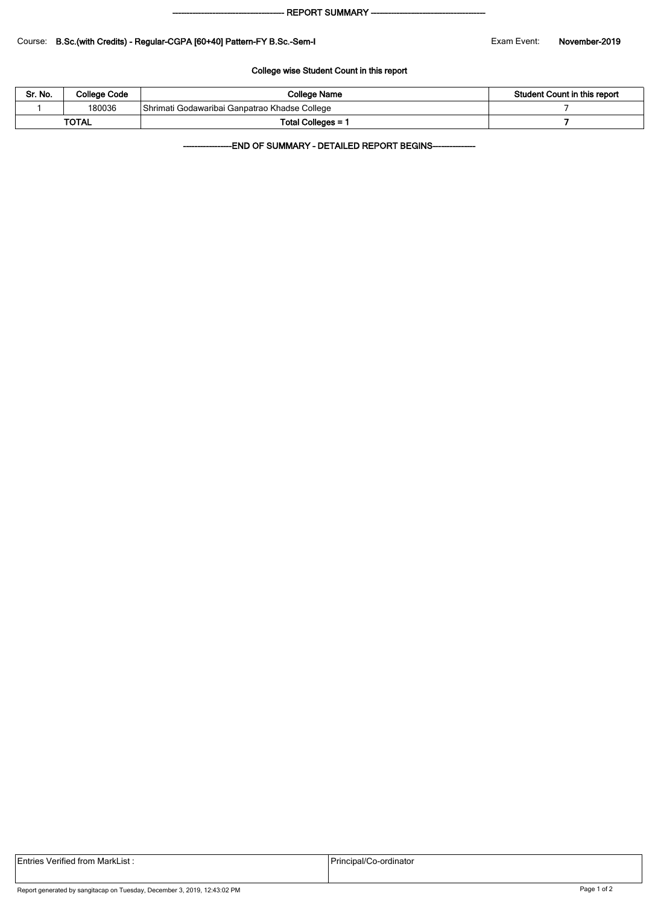#### - REPORT SUMMARY --

### Course: B.Sc.(with Credits) - Regular-CGPA [60+40] Pattern-FY B.Sc.-Sem-I Exam Event: November-2019

### College wise Student Count in this report

| Sr. No.      | <b>College Code</b> | College Name                                  | Student Count in this report |  |  |
|--------------|---------------------|-----------------------------------------------|------------------------------|--|--|
|              | 180036              | Shrimati Godawaribai Ganpatrao Khadse College |                              |  |  |
| <b>TOTAL</b> |                     | Total Colleges = ˈ                            |                              |  |  |

-END OF SUMMARY - DETAILED REPORT BEGINS-

|  | Entries Verified from MarkList : |  |
|--|----------------------------------|--|
|  |                                  |  |